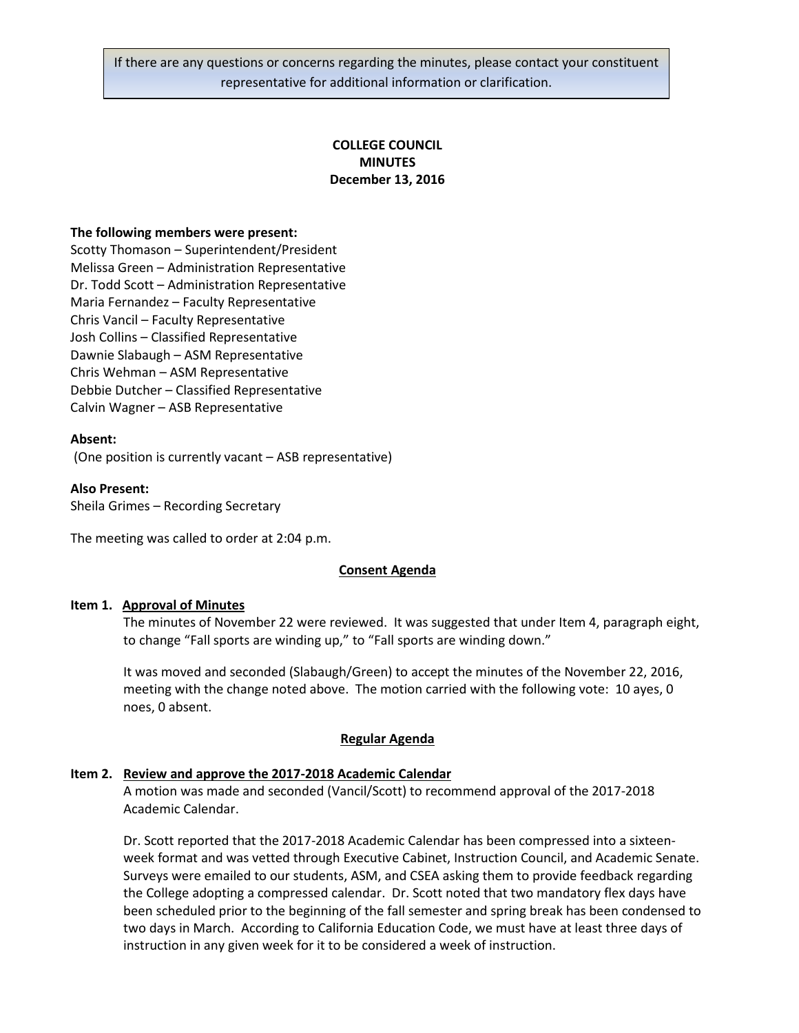If there are any questions or concerns regarding the minutes, please contact your constituent representative for additional information or clarification.

# **COLLEGE COUNCIL MINUTES December 13, 2016**

#### **The following members were present:**

Scotty Thomason – Superintendent/President Melissa Green – Administration Representative Dr. Todd Scott – Administration Representative Maria Fernandez – Faculty Representative Chris Vancil – Faculty Representative Josh Collins – Classified Representative Dawnie Slabaugh – ASM Representative Chris Wehman – ASM Representative Debbie Dutcher – Classified Representative Calvin Wagner – ASB Representative

#### **Absent:**

(One position is currently vacant – ASB representative)

#### **Also Present:**

Sheila Grimes – Recording Secretary

The meeting was called to order at 2:04 p.m.

### **Consent Agenda**

#### **Item 1. Approval of Minutes**

The minutes of November 22 were reviewed. It was suggested that under Item 4, paragraph eight, to change "Fall sports are winding up," to "Fall sports are winding down."

It was moved and seconded (Slabaugh/Green) to accept the minutes of the November 22, 2016, meeting with the change noted above. The motion carried with the following vote: 10 ayes, 0 noes, 0 absent.

### **Regular Agenda**

#### **Item 2. Review and approve the 2017-2018 Academic Calendar**

A motion was made and seconded (Vancil/Scott) to recommend approval of the 2017-2018 Academic Calendar.

Dr. Scott reported that the 2017-2018 Academic Calendar has been compressed into a sixteenweek format and was vetted through Executive Cabinet, Instruction Council, and Academic Senate. Surveys were emailed to our students, ASM, and CSEA asking them to provide feedback regarding the College adopting a compressed calendar. Dr. Scott noted that two mandatory flex days have been scheduled prior to the beginning of the fall semester and spring break has been condensed to two days in March. According to California Education Code, we must have at least three days of instruction in any given week for it to be considered a week of instruction.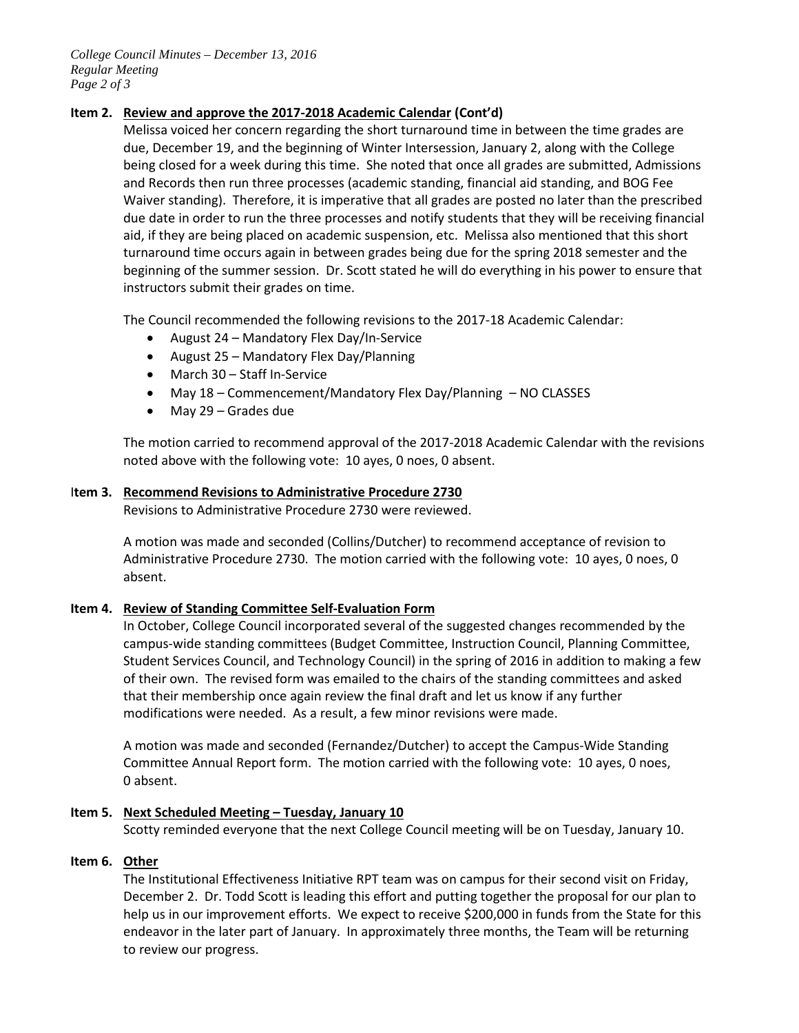*College Council Minutes – December 13, 2016 Regular Meeting Page 2 of 3*

## **Item 2. Review and approve the 2017-2018 Academic Calendar (Cont'd)**

Melissa voiced her concern regarding the short turnaround time in between the time grades are due, December 19, and the beginning of Winter Intersession, January 2, along with the College being closed for a week during this time. She noted that once all grades are submitted, Admissions and Records then run three processes (academic standing, financial aid standing, and BOG Fee Waiver standing). Therefore, it is imperative that all grades are posted no later than the prescribed due date in order to run the three processes and notify students that they will be receiving financial aid, if they are being placed on academic suspension, etc. Melissa also mentioned that this short turnaround time occurs again in between grades being due for the spring 2018 semester and the beginning of the summer session. Dr. Scott stated he will do everything in his power to ensure that instructors submit their grades on time.

The Council recommended the following revisions to the 2017-18 Academic Calendar:

- August 24 Mandatory Flex Day/In-Service
- August 25 Mandatory Flex Day/Planning
- March 30 Staff In-Service
- May 18 Commencement/Mandatory Flex Day/Planning NO CLASSES
- May 29 Grades due

The motion carried to recommend approval of the 2017-2018 Academic Calendar with the revisions noted above with the following vote: 10 ayes, 0 noes, 0 absent.

## I**tem 3. Recommend Revisions to Administrative Procedure 2730**

Revisions to Administrative Procedure 2730 were reviewed.

A motion was made and seconded (Collins/Dutcher) to recommend acceptance of revision to Administrative Procedure 2730. The motion carried with the following vote: 10 ayes, 0 noes, 0 absent.

## **Item 4. Review of Standing Committee Self-Evaluation Form**

In October, College Council incorporated several of the suggested changes recommended by the campus-wide standing committees (Budget Committee, Instruction Council, Planning Committee, Student Services Council, and Technology Council) in the spring of 2016 in addition to making a few of their own. The revised form was emailed to the chairs of the standing committees and asked that their membership once again review the final draft and let us know if any further modifications were needed. As a result, a few minor revisions were made.

A motion was made and seconded (Fernandez/Dutcher) to accept the Campus-Wide Standing Committee Annual Report form. The motion carried with the following vote: 10 ayes, 0 noes, 0 absent.

## **Item 5. Next Scheduled Meeting – Tuesday, January 10**

Scotty reminded everyone that the next College Council meeting will be on Tuesday, January 10.

## **Item 6. Other**

The Institutional Effectiveness Initiative RPT team was on campus for their second visit on Friday, December 2. Dr. Todd Scott is leading this effort and putting together the proposal for our plan to help us in our improvement efforts. We expect to receive \$200,000 in funds from the State for this endeavor in the later part of January. In approximately three months, the Team will be returning to review our progress.